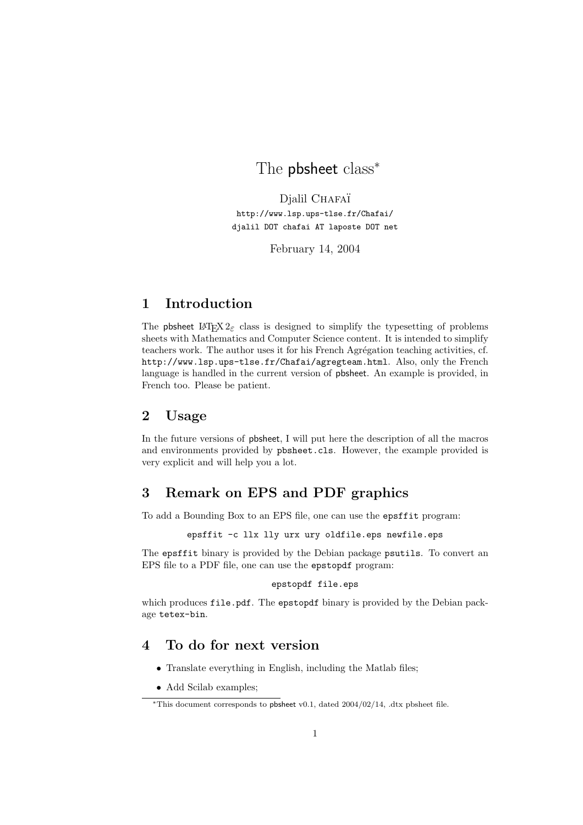# The pbsheet class<sup>\*</sup>

Djalil CHAFAÏ http://www.lsp.ups-tlse.fr/Chafai/ djalil DOT chafai AT laposte DOT net

February 14, 2004

# 1 Introduction

The pbsheet LATEX  $2\varepsilon$  class is designed to simplify the typesetting of problems sheets with Mathematics and Computer Science content. It is intended to simplify teachers work. The author uses it for his French Agrégation teaching activities, cf. http://www.lsp.ups-tlse.fr/Chafai/agregteam.html. Also, only the French language is handled in the current version of pbsheet. An example is provided, in French too. Please be patient.

#### 2 Usage

In the future versions of pbsheet, I will put here the description of all the macros and environments provided by pbsheet.cls. However, the example provided is very explicit and will help you a lot.

# 3 Remark on EPS and PDF graphics

To add a Bounding Box to an EPS file, one can use the epsffit program:

epsffit -c llx lly urx ury oldfile.eps newfile.eps

The epsffit binary is provided by the Debian package psutils. To convert an EPS file to a PDF file, one can use the epstopdf program:

#### epstopdf file.eps

which produces file.pdf. The epstopdf binary is provided by the Debian package tetex-bin.

#### 4 To do for next version

- Translate everything in English, including the Matlab files;
- Add Scilab examples;

<sup>∗</sup>This document corresponds to pbsheet v0.1, dated 2004/02/14, .dtx pbsheet file.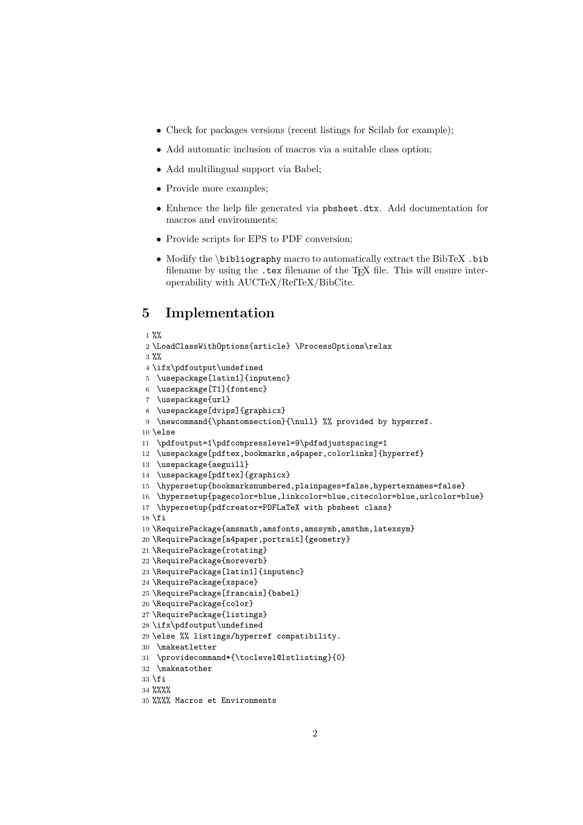- Check for packages versions (recent listings for Scilab for example);
- Add automatic inclusion of macros via a suitable class option;
- Add multilingual support via Babel;
- Provide more examples;
- Enhence the help file generated via pbsheet.dtx. Add documentation for macros and environments;
- Provide scripts for EPS to PDF conversion;
- Modify the \bibliography macro to automatically extract the BibTeX .bib filename by using the .tex filename of the T<sub>E</sub>X file. This will ensure interoperability with AUCTeX/RefTeX/BibCite.

# 5 Implementation

```
1 %%
 2 \LoadClassWithOptions{article} \ProcessOptions\relax
3 \%4 \ifx\pdfoutput\undefined
5 \usepackage[latin1]{inputenc}
6 \usepackage[T1]{fontenc}
7 \usepackage{url}
8 \usepackage[dvips]{graphicx}
9 \newcommand{\phantomsection}{\null} %% provided by hyperref.
10 \else
11 \pdfoutput=1\pdfcompresslevel=9\pdfadjustspacing=1
12 \usepackage[pdftex,bookmarks,a4paper,colorlinks]{hyperref}
13 \usepackage{aeguill}
14 \usepackage[pdftex]{graphicx}
15 \hypersetup{bookmarksnumbered,plainpages=false,hypertexnames=false}
16 \hypersetup{pagecolor=blue,linkcolor=blue,citecolor=blue,urlcolor=blue}
17 \hypersetup{pdfcreator=PDFLaTeX with pbsheet class}
18 \text{ t}19 \RequirePackage{amsmath,amsfonts,amssymb,amsthm,latexsym}
20 \RequirePackage[a4paper,portrait]{geometry}
21 \RequirePackage{rotating}
22 \RequirePackage{moreverb}
23 \RequirePackage[latin1]{inputenc}
24 \RequirePackage{xspace}
25 \RequirePackage[francais]{babel}
26 \RequirePackage{color}
27 \RequirePackage{listings}
28 \ifx\pdfoutput\undefined
29 \else %% listings/hyperref compatibility.
30 \makeatletter
31 \providecommand*{\toclevel@lstlisting}{0}
32 \makeatother
33 \fi
34 %%%%
```

```
35 %%%% Macros et Environments
```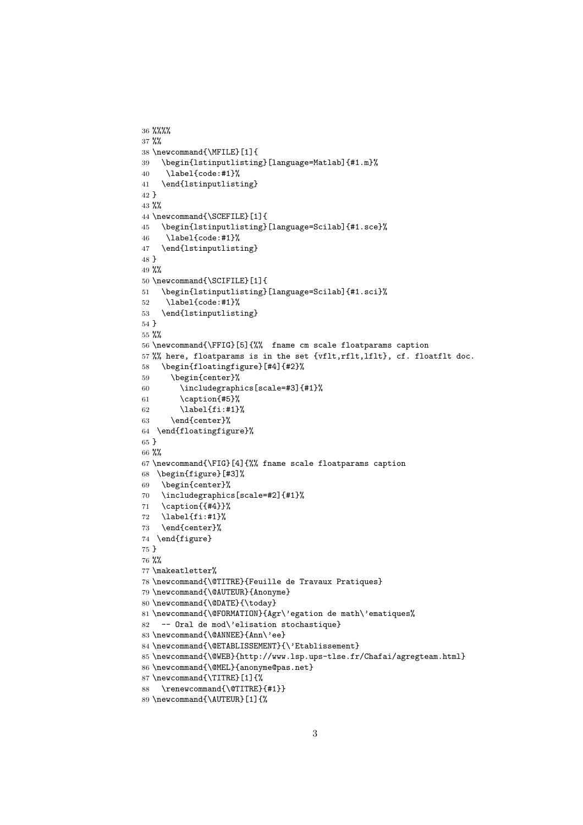```
36 %%%%
37 %%
38 \newcommand{\MFILE}[1]{
39 \begin{lstinputlisting}[language=Matlab]{#1.m}%
40 \label{code:#1}%
41 \end{lstinputlisting}
42 }
43 %%
44 \newcommand{\SCEFILE}[1]{
45 \begin{lstinputlisting}[language=Scilab]{#1.sce}%
46 \label{code:#1}%
47 \end{lstinputlisting}
48 }
49 %%
50 \newcommand{\SCIFILE}[1]{
51 \begin{lstinputlisting}[language=Scilab]{#1.sci}%
52 \label{code:#1}%
53 \end{lstinputlisting}
54 }
55 %%
56 \newcommand{\FFIG}[5]{%% fname cm scale floatparams caption
57 %% here, floatparams is in the set {vflt,rflt,lflt}, cf. floatflt doc.
58 \begin{floatingfigure}[#4]{#2}%
59 \begin{center}%
60 \includegraphics[scale=#3]{#1}%
61 \caption{#5}%
62 \label{fi:#1}%
63 \end{center}%
64 \end{floatingfigure}%
65 }
66 %%
67 \newcommand{\FIG}[4]{%% fname scale floatparams caption
68 \begin{figure}[#3]%
69 \begin{center}%
70 \includegraphics[scale=#2]{#1}%
71 \ \ \ \ \ \ \72 \label{fi:#1}%
73 \end{center}%
74 \end{figure}
75 }
76 %%
77 \makeatletter%
78 \newcommand{\@TITRE}{Feuille de Travaux Pratiques}
79 \newcommand{\@AUTEUR}{Anonyme}
80 \newcommand{\@DATE}{\today}
81 \newcommand{\@FORMATION}{Agr\'egation de math\'ematiques%
82 -- Oral de mod\'elisation stochastique}
83 \newcommand{\@ANNEE}{Ann\'ee}
84 \newcommand{\@ETABLISSEMENT}{\'Etablissement}
85 \newcommand{\@WEB}{http://www.lsp.ups-tlse.fr/Chafai/agregteam.html}
86 \newcommand{\@MEL}{anonyme@pas.net}
87 \newcommand{\TITRE}[1]{%
88 \renewcommand{\@TITRE}{#1}}
89 \newcommand{\AUTEUR}[1]{%
```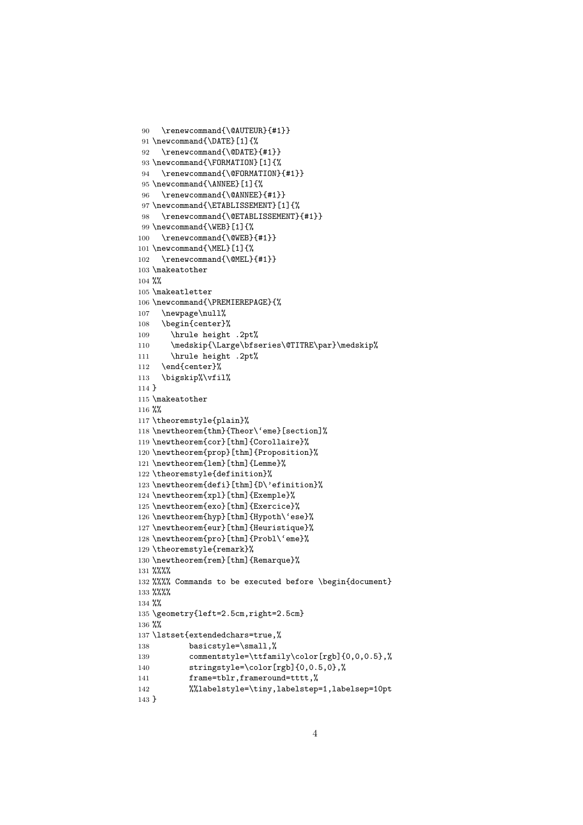```
90 \renewcommand{\@AUTEUR}{#1}}
91 \newcommand{\DATE}[1]{%
92 \renewcommand{\@DATE}{#1}}
93 \newcommand{\FORMATION}[1]{%
94 \renewcommand{\@FORMATION}{#1}}
95 \newcommand{\ANNEE}[1]{%
96 \renewcommand{\@ANNEE}{#1}}
97 \newcommand{\ETABLISSEMENT}[1]{%
98 \renewcommand{\@ETABLISSEMENT}{#1}}
99 \newcommand{\WEB}[1]{%
100 \renewcommand{\@WEB}{#1}}
101 \newcommand{\MEL}[1]{%
102 \renewcommand{\@MEL}{#1}}
103 \makeatother
104 %%
105 \makeatletter
106 \newcommand{\PREMIEREPAGE}{%
107 \newpage\null%
108 \begin{center}%
109 \hrule height .2pt%
110 \medskip{\Large\bfseries\@TITRE\par}\medskip%
111 \hrule height .2pt%
112 \end{center}%
113 \bigskip%\vfil%
114 }
115 \makeatother
116 %%
117 \theoremstyle{plain}%
118 \newtheorem{thm}{Theor\'eme}[section]%
119 \newtheorem{cor}[thm]{Corollaire}%
120 \newtheorem{prop}[thm]{Proposition}%
121 \newtheorem{lem}[thm]{Lemme}%
122 \theoremstyle{definition}%
123 \newtheorem{defi}[thm]{D\'efinition}%
124 \newtheorem{xpl}[thm]{Exemple}%
125 \newtheorem{exo}[thm]{Exercice}%
126 \newtheorem{hyp}[thm]{Hypoth\'ese}%
127 \newtheorem{eur}[thm]{Heuristique}%
128 \newtheorem{pro}[thm]{Probl\'eme}%
129 \theoremstyle{remark}%
130 \newtheorem{rem}[thm]{Remarque}%
131 %%%%
132 %%%% Commands to be executed before \begin{document}
133 %%%%
134 %%
135 \geometry{left=2.5cm,right=2.5cm}
136 %%
137 \lstset{extendedchars=true,%
138 basicstyle=\small,%
139 commentstyle=\ttfamily\color[rgb]{0,0,0.5},%
140 stringstyle=\color[rgb]{0,0.5,0},%
141 frame=tblr,frameround=tttt,%
142 %%labelstyle=\tiny,labelstep=1,labelsep=10pt
143 }
```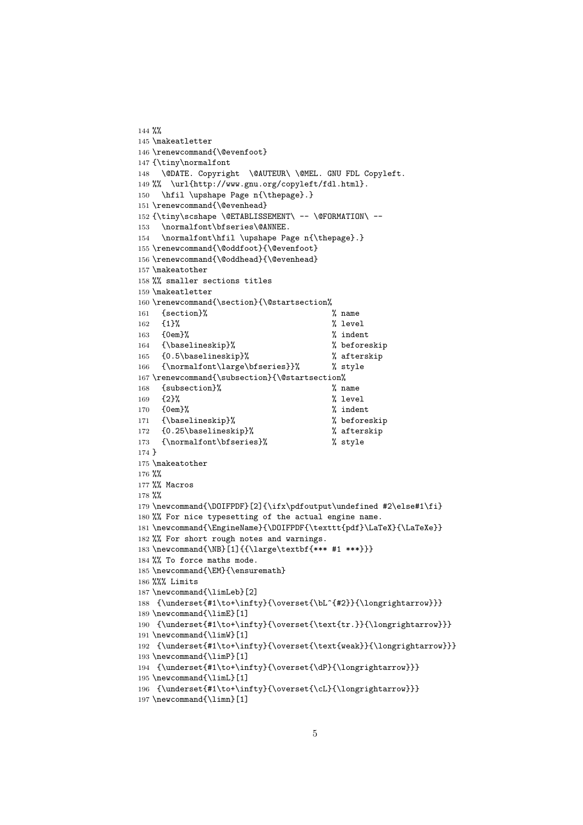```
144 %
145 \makeatletter
146 \renewcommand{\@evenfoot}
147 {\tiny\normalfont
148 \@DATE. Copyright \@AUTEUR\ \@MEL. GNU FDL Copyleft.
149 %% \url{http://www.gnu.org/copyleft/fdl.html}.
150 \hfil \upshape Page n{\thepage}.}
151 \renewcommand{\@evenhead}
152 {\tiny\scshape \@ETABLISSEMENT\ -- \@FORMATION\ --
153 \normalfont\bfseries\@ANNEE.
154 \normalfont\hfil \upshape Page n{\thepage}.}
155 \renewcommand{\@oddfoot}{\@evenfoot}
156 \renewcommand{\@oddhead}{\@evenhead}
157 \makeatother
158 %% smaller sections titles
159 \makeatletter
160 \renewcommand{\section}{\@startsection%
161 {section}% % name
162 {1}% % level
163 {0em}% % indent
164 {\baselineskip}% % beforeskip
165 {0.5\baselineskip}% % afterskip
166 {\normalfont\large\bfseries}}% % style
167\renewcommand{\subsection}{\@startsection%
168 {subsection}% % name
169 {2}% % level
170 {0em}% \frac{170}{100} indent
171 {\baselineskip}% % beforeskip
172 {0.25\baselineskip}% % afterskip
173 {\normalfont\bfseries}% % style
174 }
175 \makeatother
176 %%
177 %% Macros
178 %%
179 \newcommand{\DOIFPDF}[2]{\ifx\pdfoutput\undefined #2\else#1\fi}
180 %% For nice typesetting of the actual engine name.
181 \newcommand{\EngineName}{\DOIFPDF{\texttt{pdf}\LaTeX}{\LaTeXe}}
182 %% For short rough notes and warnings.
183 \newcommand{\NB}[1]{{\large\textbf{*** #1 ***}}}
184 %% To force maths mode.
185 \newcommand{\EM}{\ensuremath}
186 %%% Limits
187 \newcommand{\limLeb}[2]
188 {\underset{#1\to+\infty}{\overset{\bL^{#2}}{\longrightarrow}}}
189 \newcommand{\limE}[1]
190 {\underset{#1\to+\infty}{\overset{\text{tr.}}{\longrightarrow}}}
191 \newcommand{\limW}[1]
192 {\underset{#1\to+\infty}{\overset{\text{weak}}{\longrightarrow}}}
193 \newcommand{\limP}[1]
194 {\underset{#1\to+\infty}{\overset{\dP}{\longrightarrow}}}
195 \newcommand{\limL}[1]
196 {\underset{#1\to+\infty}{\overset{\cL}{\longrightarrow}}}
197 \newcommand{\limn}[1]
```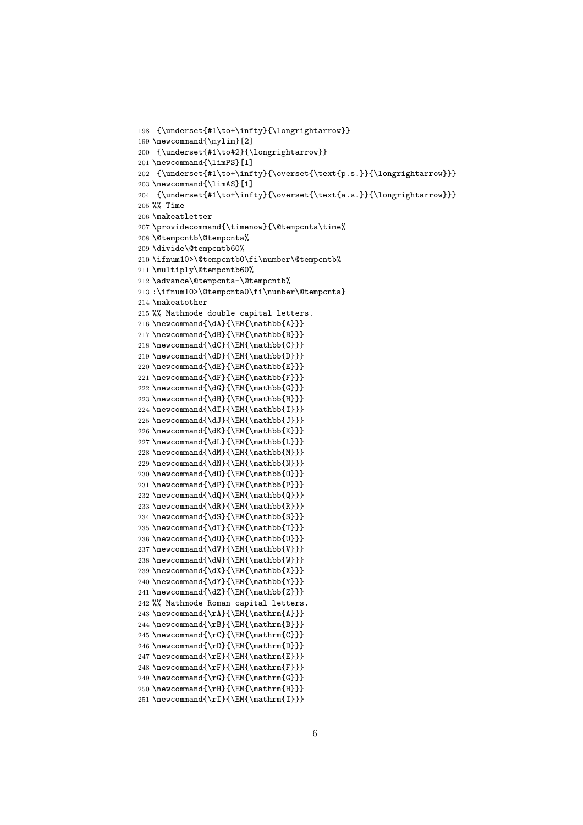```
198 {\underset{#1\to+\infty}{\longrightarrow}}
199 \newcommand{\mylim}[2]
200 {\underset{#1\to#2}{\longrightarrow}}
201 \newcommand{\limPS}[1]
202 {\underset{#1\to+\infty}{\overset{\text{p.s.}}{\longrightarrow}}}
203 \newcommand{\limAS}[1]
204 {\underset{#1\to+\infty}{\overset{\text{a.s.}}{\longrightarrow}}}
205 %% Time
206 \makeatletter
207 \providecommand{\timenow}{\@tempcnta\time%
208 \@tempcntb\@tempcnta%
209 \divide\@tempcntb60%
210 \ifnum10>\@tempcntb0\fi\number\@tempcntb%
211 \multiply\@tempcntb60%
212 \advance\@tempcnta-\@tempcntb%
213 :\ifnum10>\@tempcnta0\fi\number\@tempcnta}
214 \makeatother
215 %% Mathmode double capital letters.
216 \newcommand{\dA}{\EM{\mathbb{A}}}
217 \newcommand{\dB}{\EM{\mathbb{B}}}
218 \newcommand{\dC}{\EM{\mathbb{C}}}
219 \newcommand{\dD}{\EM{\mathbb{D}}}
220 \newcommand{\dE}{\EM{\mathbb{E}}}
221 \newcommand{\dF}{\EM{\mathbb{F}}}
222 \newcommand{\dG}{\EM{\mathbb{G}}}
223 \newcommand{\dH}{\EM{\mathbb{H}}}
224 \newcommand{\dI}{\EM{\mathbb{I}}}
225 \newcommand{\dJ}{\EM{\mathbb{J}}}
226 \newcommand{\dK}{\EM{\mathbb{K}}}
227 \newcommand{\dL}{\EM{\mathbb{L}}}
228 \newcommand{\dM}{\EM{\mathbb{M}}}
229 \newcommand{\dN}{\EM{\mathbb{N}}}
230 \newcommand{\dO}{\EM{\mathbb{O}}}
231 \newcommand{\dP}{\EM{\mathbb{P}}}
232 \newcommand{\dQ}{\EM{\mathbb{Q}}}
233 \newcommand{\dR}{\EM{\mathbb{R}}}
234 \newcommand{\dS}{\EM{\mathbb{S}}}
235 \newcommand{\dT}{\EM{\mathbb{T}}}
236 \newcommand{\dU}{\EM{\mathbb{U}}}
237 \newcommand{\dV}{\EM{\mathbb{V}}}
238 \newcommand{\dW}{\EM{\mathbb{W}}}
239 \newcommand{\dX}{\EM{\mathbb{X}}}
240 \newcommand{\dY}{\EM{\mathbb{Y}}}
241 \newcommand{\dZ}{\EM{\mathbb{Z}}}
242 %% Mathmode Roman capital letters.
243 \newcommand{\rA}{\EM{\mathrm{A}}}
244 \newcommand{\rB}{\EM{\mathrm{B}}}
245 \newcommand{\rC}{\EM{\mathrm{C}}}
246 \newcommand{\rD}{\EM{\mathrm{D}}}
247 \newcommand{\rE}{\EM{\mathrm{E}}}
248 \newcommand{\rF}{\EM{\mathrm{F}}}
249 \newcommand{\rG}{\EM{\mathrm{G}}}
250 \newcommand{\rH}{\EM{\mathrm{H}}}
```

```
251 \newcommand{\rI}{\EM{\mathrm{I}}}
```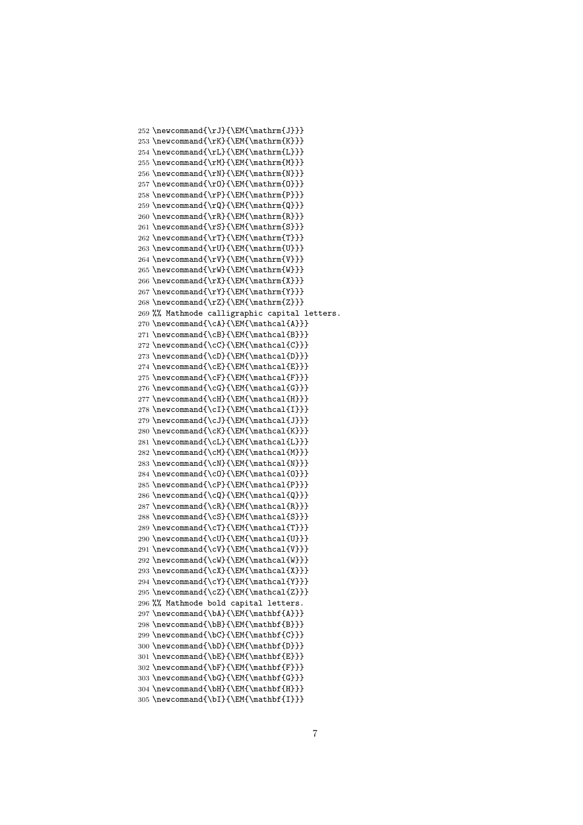252 \newcommand{\rJ}{\EM{\mathrm{J}}} 253 \newcommand{\rK}{\EM{\mathrm{K}}} 254 \newcommand{\rL}{\EM{\mathrm{L}}}  $255 \newcommand{\rM}{EM{mathmm{M}}$ 256 \newcommand{\rN}{\EM{\mathrm{N}}} 257 \newcommand{\rO}{\EM{\mathrm{O}}} 258 \newcommand{\rP}{\EM{\mathrm{P}}} 259 \newcommand{\rQ}{\EM{\mathrm{Q}}} 260 \newcommand{\rR}{\EM{\mathrm{R}}} 261 \newcommand{\rS}{\EM{\mathrm{S}}} 262 \newcommand{\rT}{\EM{\mathrm{T}}} 263 \newcommand{\rU}{\EM{\mathrm{U}}} 264 \newcommand{\rV}{\EM{\mathrm{V}}} 265 \newcommand{\rW}{\EM{\mathrm{W}}} 266 \newcommand{\rX}{\EM{\mathrm{X}}} 267 \newcommand{\rY}{\EM{\mathrm{Y}}} 268 \newcommand{\rZ}{\EM{\mathrm{Z}}} 269 %% Mathmode calligraphic capital letters. 270 \newcommand{\cA}{\EM{\mathcal{A}}} 271 \newcommand{\cB}{\EM{\mathcal{B}}} 272 \newcommand{\cC}{\EM{\mathcal{C}}} 273 \newcommand{\cD}{\EM{\mathcal{D}}}  $274 \newcommand{\cE}{\EM{\mathbf{\mathbb{E}}\}}$ 275 \newcommand{\cF}{\EM{\mathcal{F}}} 276 \newcommand{\cG}{\EM{\mathcal{G}}} 277 \newcommand{\cH}{\EM{\mathcal{H}}} 278 \newcommand{\cI}{\EM{\mathcal{I}}} 279 \newcommand{\cJ}{\EM{\mathcal{J}}} 280 \newcommand{\cK}{\EM{\mathcal{K}}} 281 \newcommand{\cL}{\EM{\mathcal{L}}} 282 \newcommand{\cM}{\EM{\mathcal{M}}} 283 \newcommand{\cN}{\EM{\mathcal{N}}}  $284 \newcommand{\cd{ll}H\mathfrak{math}$ 285 \newcommand{\cP}{\EM{\mathcal{P}}} 286 \newcommand{\cQ}{\EM{\mathcal{Q}}} 287 \newcommand{\cR}{\EM{\mathcal{R}}} 288 \newcommand{\cS}{\EM{\mathcal{S}}} 289 \newcommand{\cT}{\EM{\mathcal{T}}} 290 \newcommand{\cU}{\EM{\mathcal{U}}} 291 \newcommand{\cV}{\EM{\mathcal{V}}} 292 \newcommand{\cW}{\EM{\mathcal{W}}} 293 \newcommand{\cX}{\EM{\mathcal{X}}} 294 \newcommand{\cY}{\EM{\mathcal{Y}}} 295 \newcommand{\cZ}{\EM{\mathcal{Z}}} 296 %% Mathmode bold capital letters. 297 \newcommand{\bA}{\EM{\mathbf{A}}} 298 \newcommand{\bB}{\EM{\mathbf{B}}} 299 \newcommand{\bC}{\EM{\mathbf{C}}} 300 \newcommand{\bD}{\EM{\mathbf{D}}} 301 \newcommand{\bE}{\EM{\mathbf{E}}} 302 \newcommand{\bF}{\EM{\mathbf{F}}} 303 \newcommand{\bG}{\EM{\mathbf{G}}}  $304 \newline \hspace*{1.5em} \label{thm:KMS}$ 305 \newcommand{\bI}{\EM{\mathbf{I}}}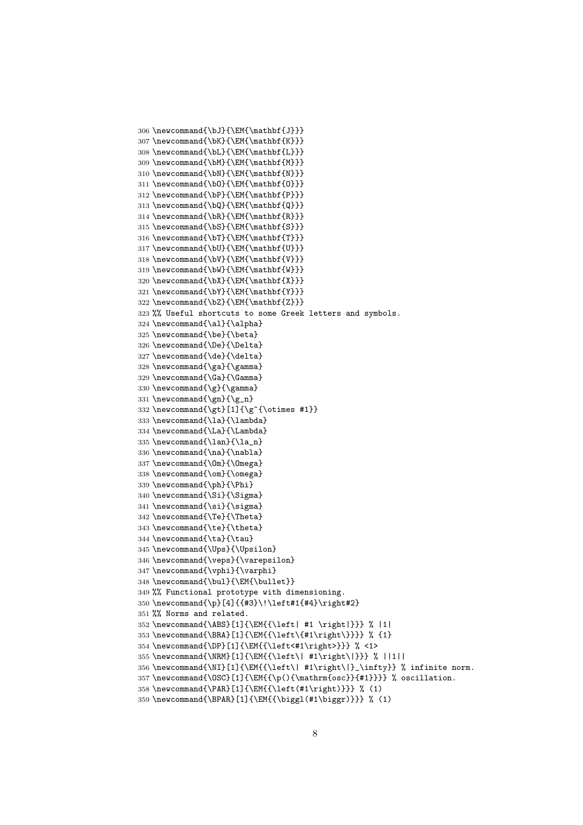```
306 \newcommand{\bJ}{\EM{\mathbf{J}}}
307 \newcommand{\bK}{\EM{\mathbf{K}}}
308 \newcommand{\bL}{\EM{\mathbf{L}}}
309 \newcommand{\bM}{\EM{\mathbf{M}}}
310 \newcommand{\bN}{\EM{\mathbf{N}}}
311 \newcommand{\bO}{\EM{\mathbf{O}}}
312 \newcommand{\bP}{\EM{\mathbf{P}}}
313 \newcommand{\bQ}{\EM{\mathbf{Q}}}
314 \newcommand{\bR}{\EM{\mathbf{R}}}
315 \newcommand{\bS}{\EM{\mathbf{S}}}
316 \newcommand{\bT}{\EM{\mathbf{T}}}
317 \newcommand{\bU}{\EM{\mathbf{U}}}
318 \newcommand{\bV}{\EM{\mathbf{V}}}
319 \newcommand{\bW}{\EM{\mathbf{W}}}
320 \newcommand{\bX}{\EM{\mathbf{X}}}
321 \newcommand{\bY}{\EM{\mathbf{Y}}}
322 \newcommand{\bZ}{\EM{\mathbf{Z}}}
323 %% Useful shortcuts to some Greek letters and symbols.
324 \newcommand{\al}{\alpha}
325 \newcommand{\be}{\beta}
326 \newcommand{\De}{\Delta}
327 \newcommand{\de}{\delta}
328 \newcommand{\ga}{\gamma}
329 \newcommand{\Ga}{\Gamma}
330 \newcommand{\g}{\gamma}
331 \newcommand{\gn}{\g_n}
332 \newcommand{\gt}[1]{\g^{\otimes #1}}
333 \newcommand{\la}{\lambda}
334 \newcommand{\La}{\Lambda}
335 \newcommand{\lan}{\la_n}
336 \newcommand{\na}{\nabla}
337 \newcommand{\Om}{\Omega}
338 \newcommand{\om}{\omega}
339 \newcommand{\ph}{\Phi}
340 \newcommand{\Si}{\Sigma}
341 \newcommand{\si}{\sigma}
342 \newcommand{\Te}{\Theta}
343 \newcommand{\te}{\theta}
344 \newcommand{\ta}{\tau}
345 \newcommand{\Ups}{\Upsilon}
346 \newcommand{\veps}{\varepsilon}
347 \newcommand{\vphi}{\varphi}
348 \newcommand{\bul}{\EM{\bullet}}
349 %% Functional prototype with dimensioning.
350 \newcommand{\p}[4]{{#3}\!\left#1{#4}\right#2}
351 %% Norms and related.
352 \newcommand{\ABS}[1]{\EM{{\left| #1 \right|}}} % |1|
353 \newcommand{\BRA}[1]{\EM{{\left\{#1\right\}}}} % {1}
354 \newcommand{\DP}[1]{\EM{{\left<#1\right>}}} % <1>
355 \newcommand{\NRM}[1]{\EM{{\left\| #1\right\|}}} % ||1||
356 \newcommand{\NI}[1]{\EM{{\left\| #1\right\|}_\infty}} % infinite norm.
357\newcommand{\OSC}[1]{\EM{{\p(){\mathrm{osc}}{#1}}}} % oscillation.
358 \newcommand{\PAR}[1]{\EM{{\left(#1\right)}}} % (1)
359 \newcommand{\BPAR}[1]{\EM{{\biggl(#1\biggr)}}} % (1)
```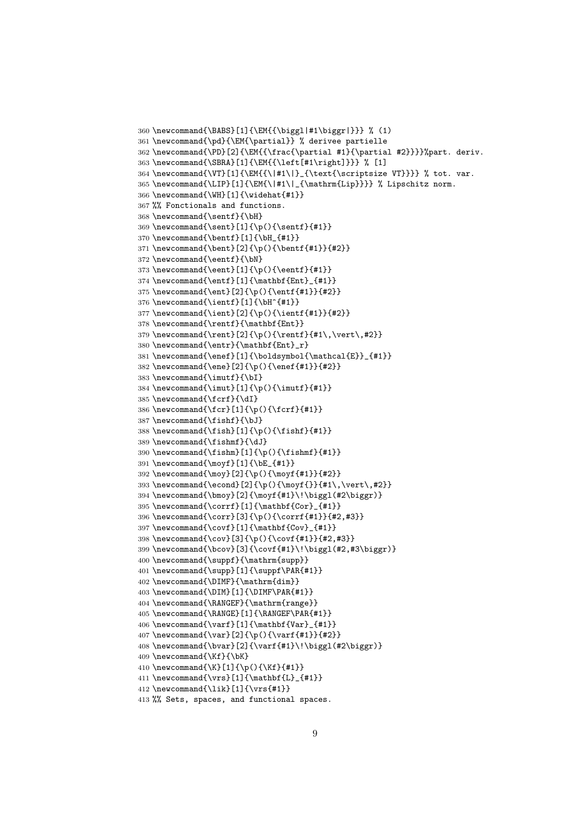```
360 \newcommand{\BABS}[1]{\EM{{\biggl|#1\biggr|}}} % (1)
361 \newcommand{\pd}{\EM{\partial}} % derivee partielle
362 \newcommand{\PD}[2]{\EM{{\frac{\partial #1}{\partial #2}}}}%part. deriv.
363 \newcommand{\SBRA}[1]{\EM{{\left[#1\right]}}} % [1]
364 \newcommand{\VT}[1]{\EM{{\|#1\|}_{\text{\scriptsize VT}}}} % tot. var.
365 \newcommand{\LIP}[1]{\EM{\|#1\|_{\mathrm{Lip}}}} % Lipschitz norm.
366 \newcommand{\WH}[1]{\widehat{#1}}
367 %% Fonctionals and functions.
368 \newcommand{\sentf}{\bH}
369 \newcommand{\sent}[1]{\p(){\sentf}{#1}}
370 \newcommand{\bentf}[1]{\bH_{#1}}
371 \newcommand{\bent}[2]{\p(){\bentf{#1}}{#2}}
372 \newcommand{\eentf}{\bN}
373 \newcommand{\eent}[1]{\p(){\eentf}{#1}}
374 \newcommand{\entf}{1}{{mathbf{Ent}_{41}}375 \newcommand{\ent}[2]{\p(){\entf{#1}}{#2}}
376 \newcommand{\ientf}[1]{\bH^{#1}}
377\newcommand{\ient}[2]{\p(){\ientf{#1}}{#2}}
378 \newcommand{\rentf}{\mathbf{Ent}}
379\newcommand{\rent}[2]{\p(){\rentf}{#1\,\vert\,#2}}
380 \newcommand{\entr}{\mathbf{Ent}_r}
381 \newcommand{\enef}[1]{\boldsymbol{\mathcal{E}}_{#1}}
382 \newcommand{\ene}[2]{\p(){\enef{#1}}{#2}}
383 \newcommand{\imutf}{\bI}
384 \newline \newline \hspace{1.5em}\newline \hspace{1.5em}\newline \hspace{1.5em}\newline \hspace{1.5em}\newline \hspace{1.5em}\newline \hspace{1.5em}\newline \hspace{1.5em}\newline \hspace{1.5em}\newline \hspace{1.5em}\newline \hspace{1.5em}\newline \hspace{1.5em}\newline \hspace{1.5em}\newline \hspace{1.5em}\newline \hspace{1.5em}\newline \hspace{1.5em}\newline \hspace{1.5em}\newline \hspace{1.5em}\newline \hspace{1.5em}\newline \hspace{1.5em}\newline \hspace{1.5em}\newline \hspace{1.5em}\newline \hspace385 \newcommand{\fcrf}{\dI}
386 \newcommand{\fcr}[1]{\p(){\fcrf}{#1}}
387 \newcommand{\fishf}{\bJ}
388 \newcommand{\fish}[1]{\p(){\fishf}{#1}}
389 \newcommand{\fishmf}{\dJ}
390 \newcommand{\fishm}[1]{\p(){\fishmf}{#1}}
391 \newcommand{\moyf}[1]{\bE_{#1}}
392 \newcommand{\moy}[2]{\p(){\moyf{#1}}{#2}}
393 \newcommand{\econd}[2]{\p(){\moyf{}}{#1\,\vert\,#2}}
394 \newcommand{\bmoy}[2]{\moyf{#1}\!\biggl(#2\biggr)}
395 \newcommand{\corrf}[1]{\mathbf{Cor}_{#1}}
396 \newcommand{\corr}[3]{\p(){\corrf{#1}}{#2,#3}}
397 \newcommand{\covf}[1]{\mathbf{Cov}_{#1}}
398 \newcommand{\cov}[3]{\p(){\covf{#1}}{#2,#3}}
399 \newcommand{\bcov}[3]{\covf{#1}\!\biggl(#2,#3\biggr)}
400 \newcommand{\suppf}{\mathrm{supp}}
401 \newcommand{\supp}[1]{\suppf\PAR{#1}}
402 \newcommand{\DIMF}{\mathrm{dim}}
403 \newcommand{\DIM}[1]{\DIMF\PAR{#1}}
404 \newcommand{\RANGEF}{\mathrm{range}}
405 \newcommand{\RANGE}[1]{\RANGEF\PAR{#1}}
406 \newcommand{\varf}[1]{\mathbf{Var}_{#1}}
407 \newcommand{\var}[2]{\p(){\varf{#1}}{#2}}
408 \newcommand{\bvar}[2]{\varf{#1}\!\biggl(#2\biggr)}
409 \newcommand{\Kf}{\bK}
410 \newcommand{\K}[1]{\p(){\Kf}{#1}}
411 \newcommand{\vrs}[1]{\mathbf{L}_{#1}}
412 \newcommand{\lik}[1]{\vrs{#1}}
413 %% Sets, spaces, and functional spaces.
```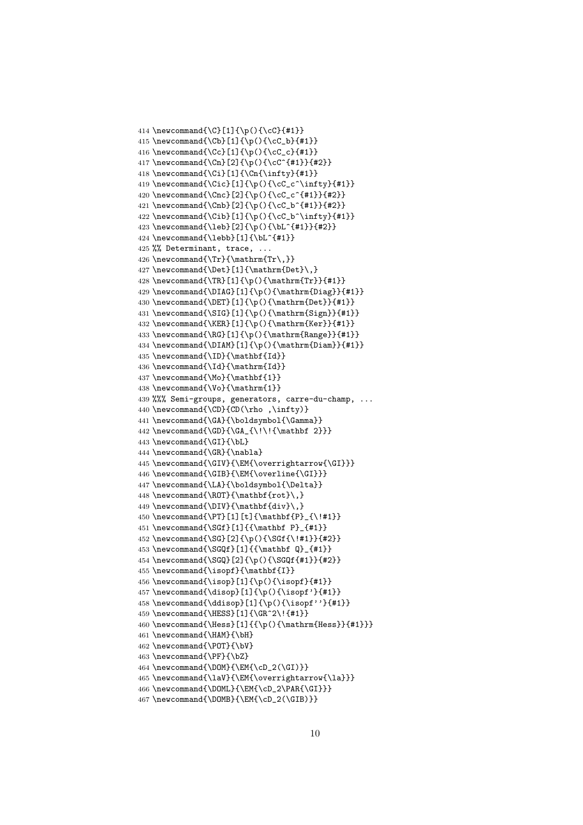```
414 \newcommand{\C}[1]{\p(){\cC}{#1}}
415 \newcommand{\Cb}[1]{\p(){\cC_b}{#1}}
416 \newcommand{\Cc}[1]{\p(){\cC_c}{#1}}
417 \newcommand{\Cn}[2]{\p(){\cC^{#1}}{#2}}
418 \newcommand{\Ci}[1]{\Cn{\infty}{#1}}
419 \newcommand{\Cic}[1]{\p(){\cC_c^\infty}{#1}}
420 \newcommand{\Cnc}[2]{\p(){\cC_c^{#1}}{#2}}
421 \newcommand{\Cnb}[2]{\p(){\cC_b^{#1}}{#2}}
422 \newcommand{\Cib}[1]{\p(){\cC_b^\infty}{#1}}
423 \newcommand{\leb}[2]{\p(){\bL^{#1}}{#2}}
424 \newcommand{\lebb}[1]{\bL^{#1}}
425 %% Determinant, trace, ...
426 \newcommand{\Tr}{\mathrm{Tr\,}}
427\newcommand{\Det}[1]{\mathrm{Det}\,}
428 \newcommand{\TR}[1]{\p(){\mathrm{Tr}}{#1}}
429 \newcommand{\DIAG}[1]{\p(){\mathrm{Diag}}{#1}}
430 \newcommand{\DET}[1]{\p(){\mathrm{Det}}{#1}}
431 \newcommand{\SIG}[1]{\p(){\mathrm{Sign}}{#1}}
432 \newcommand{\KER}[1]{\p(){\mathrm{Ker}}{#1}}
433 \newcommand{\RG}[1]{\p(){\mathrm{Range}}{#1}}
434 \newcommand{\DIAM}[1]{\p(){\mathrm{Diam}}{#1}}
435 \newcommand{\ID}{\mathbf{Id}}
436 \newcommand{\Id}{\mathrm{Id}}
437 \newcommand{\Mo}{\mathbf{1}}
438 \newcommand{\Vo}{\mathrm{1}}
439 %%% Semi-groups, generators, carre-du-champ, ...
440 \newcommand{\CD}{CD(\rho ,\infty)}
441 \newcommand{\GA}{\boldsymbol{\Gamma}}
442 \newcommand{\GD}{\GA_{\!\!{\mathbf 2}}}
443 \newcommand{\GI}{\bL}
444 \newcommand{\GR}{\nabla}
445 \newcommand{\GIV}{\EM{\overrightarrow{\GI}}}
446 \newcommand{\GIB}{\EM{\overline{\GI}}}
447\newcommand{\LA}{\boldsymbol{\Delta}}
448 \newcommand{\ROT}{\mathbf{rot}\,}
449 \newcommand{\DIV}{\mathbf{div}\,}
450 \newcommand{\PT}[1][t]{\mathbf{P}_{\!#1}}
451 \newcommand{\SGf}[1]{{\mathbf P}_{#1}}
452 \newcommand{\SG}[2]{\p(){\SGf{\!#1}}{#2}}
453 \newcommand{\SGQf}[1]{{\mathbf Q} {#1}}
454 \newcommand{\SGQ}[2]{\p(){\SGQf{#1}}{#2}}
455 \newcommand{\isopf}{\mathbf{I}}
456 \newcommand{\isop}[1]{\p(){\isopf}{#1}}
457\newcommand{\disop}[1]{\p(){\isopf'}{#1}}
458 \newcommand{\ddisop}[1]{\p(){\isopf''}{#1}}
459 \newcommand{\HESS}[1]{\GR^2\!{#1}}
460 \newcommand{\Hess}[1]{{\p(){\mathrm{Hess}}{#1}}}
461 \newcommand{\HAM}{\bH}
462 \newcommand{\POT}{\bV}
463 \newcommand{\PF}{\bZ}
464 \newcommand{\DOM}{\EM{\\CD_2(\GI)}\}465 \newcommand{\laV}{\EM{\overrightarrow{\la}}}
466 \newcommand{\DOML}{\EM{\cD_2\PAR{\GI}}}
```

```
467 \newcommand{\DOMB}{\EM{\cD_2(\GIB)}}
```